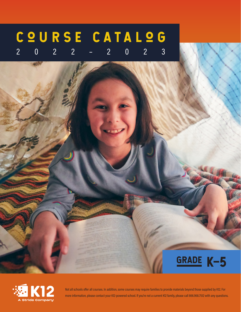## C Q U R S E C A T A L Q G 2022–2023





Not all schools offer all courses. In addition, some courses may require families to provide materials beyond those supplied by K12. For more information, please contact your K12-powered school. If you're not a current K12 family, please call 866.968.7512 with any questions.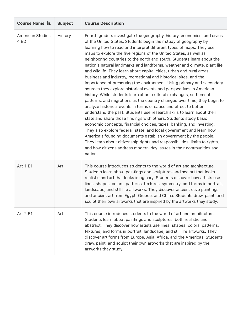| Course Name LE                  | <b>Subject</b> | <b>Course Description</b>                                                                                                                                                                                                                                                                                                                                                                                                                                                                                                                                                                                                                                                                                                                                                                                                                                                                                                                                                                                                                                                                                                                                                                                                                                                                                                                                                                                                                                                                                |
|---------------------------------|----------------|----------------------------------------------------------------------------------------------------------------------------------------------------------------------------------------------------------------------------------------------------------------------------------------------------------------------------------------------------------------------------------------------------------------------------------------------------------------------------------------------------------------------------------------------------------------------------------------------------------------------------------------------------------------------------------------------------------------------------------------------------------------------------------------------------------------------------------------------------------------------------------------------------------------------------------------------------------------------------------------------------------------------------------------------------------------------------------------------------------------------------------------------------------------------------------------------------------------------------------------------------------------------------------------------------------------------------------------------------------------------------------------------------------------------------------------------------------------------------------------------------------|
| <b>American Studies</b><br>4 ED | History        | Fourth graders investigate the geography, history, economics, and civics<br>of the United States. Students begin their study of geography by<br>learning how to read and interpret different types of maps. They use<br>maps to explore the five regions of the United States, as well as<br>neighboring countries to the north and south. Students learn about the<br>nation's natural landmarks and landforms, weather and climate, plant life,<br>and wildlife. They learn about capital cities, urban and rural areas,<br>business and industry, recreational and historical sites, and the<br>importance of preserving the environment. Using primary and secondary<br>sources they explore historical events and perspectives in American<br>history. While students learn about cultural exchanges, settlement<br>patterns, and migrations as the country changed over time, they begin to<br>analyze historical events in terms of cause and effect to better<br>understand the past. Students use research skills to learn about their<br>state and share those findings with others. Students study basic<br>economic concepts, financial choices, taxes, banking, and investing.<br>They also explore federal, state, and local government and learn how<br>America's founding documents establish government by the people.<br>They learn about citizenship rights and responsibilities, limits to rights,<br>and how citizens address modern-day issues in their communities and<br>nation. |
| Art 1 E1                        | Art            | This course introduces students to the world of art and architecture.<br>Students learn about paintings and sculptures and see art that looks<br>realistic and art that looks imaginary. Students discover how artists use<br>lines, shapes, colors, patterns, textures, symmetry, and forms in portrait,<br>landscape, and still life artworks. They discover ancient cave paintings<br>and ancient art from Egypt, Greece, and China. Students draw, paint, and<br>sculpt their own artworks that are inspired by the artworks they study.                                                                                                                                                                                                                                                                                                                                                                                                                                                                                                                                                                                                                                                                                                                                                                                                                                                                                                                                                             |
| Art 2 E1                        | Art            | This course introduces students to the world of art and architecture.<br>Students learn about paintings and sculptures, both realistic and<br>abstract. They discover how artists use lines, shapes, colors, patterns,<br>textures, and forms in portrait, landscape, and still life artworks. They<br>discover art forms from Europe, Asia, Africa, and the Americas. Students<br>draw, paint, and sculpt their own artworks that are inspired by the<br>artworks they study.                                                                                                                                                                                                                                                                                                                                                                                                                                                                                                                                                                                                                                                                                                                                                                                                                                                                                                                                                                                                                           |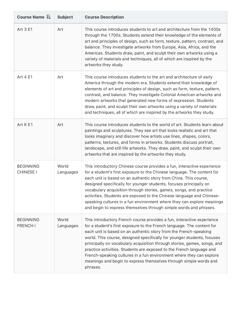| Course Name LE                       | <b>Subject</b>     | <b>Course Description</b>                                                                                                                                                                                                                                                                                                                                                                                                                                                                                                                                                                                     |
|--------------------------------------|--------------------|---------------------------------------------------------------------------------------------------------------------------------------------------------------------------------------------------------------------------------------------------------------------------------------------------------------------------------------------------------------------------------------------------------------------------------------------------------------------------------------------------------------------------------------------------------------------------------------------------------------|
| Art 3 E1                             | Art                | This course introduces students to art and architecture from the 1400s<br>through the 1700s. Students extend their knowledge of the elements of<br>art and principles of design, such as form, texture, pattern, contrast, and<br>balance. They investigate artworks from Europe, Asia, Africa, and the<br>Americas. Students draw, paint, and sculpt their own artworks using a<br>variety of materials and techniques, all of which are inspired by the<br>artworks they study.                                                                                                                             |
| Art 4 E1                             | Art                | This course introduces students to the art and architecture of early<br>America through the modern era. Students extend their knowledge of<br>elements of art and principles of design, such as form, texture, pattern,<br>contrast, and balance. They investigate Colonial American artworks and<br>modern artworks that generated new forms of expression. Students<br>draw, paint, and sculpt their own artworks using a variety of materials<br>and techniques, all of which are inspired by the artworks they study.                                                                                     |
| Art K E1                             | Art                | This course introduces students to the world of art. Students learn about<br>paintings and sculptures. They see art that looks realistic and art that<br>looks imaginary and discover how artists use lines, shapes, colors,<br>patterns, textures, and forms in artworks. Students discuss portrait,<br>landscape, and still life artworks. They draw, paint, and sculpt their own<br>artworks that are inspired by the artworks they study.                                                                                                                                                                 |
| <b>BEGINNING</b><br><b>CHINESE I</b> | World<br>Languages | This introductory Chinese course provides a fun, interactive experience<br>for a student's first exposure to the Chinese language. The content for<br>each unit is based on an authentic story from China. This course,<br>designed specifically for younger students, focuses principally on<br>vocabulary acquisition through stories, games, songs, and practice<br>activities. Students are exposed to the Chinese language and Chinese-<br>speaking cultures in a fun environment where they can explore meanings<br>and begin to express themselves through simple words and phrases.                   |
| <b>BEGINNING</b><br><b>FRENCH I</b>  | World<br>Languages | This introductory French course provides a fun, interactive experience<br>for a student's first exposure to the French language. The content for<br>each unit is based on an authentic story from the French-speaking<br>world. This course, designed specifically for younger students, focuses<br>principally on vocabulary acquisition through stories, games, songs, and<br>practice activities. Students are exposed to the French language and<br>French-speaking cultures in a fun environment where they can explore<br>meanings and begin to express themselves through simple words and<br>phrases. |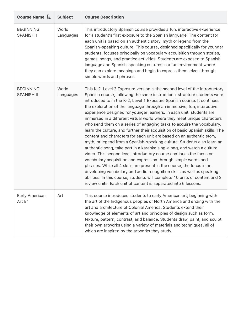| Course Name $I$ =                     | <b>Subject</b>     | <b>Course Description</b>                                                                                                                                                                                                                                                                                                                                                                                                                                                                                                                                                                                                                                                                                                                                                                                                                                                                                                                                                                                                                                                                                                                                                                                                                                                                              |
|---------------------------------------|--------------------|--------------------------------------------------------------------------------------------------------------------------------------------------------------------------------------------------------------------------------------------------------------------------------------------------------------------------------------------------------------------------------------------------------------------------------------------------------------------------------------------------------------------------------------------------------------------------------------------------------------------------------------------------------------------------------------------------------------------------------------------------------------------------------------------------------------------------------------------------------------------------------------------------------------------------------------------------------------------------------------------------------------------------------------------------------------------------------------------------------------------------------------------------------------------------------------------------------------------------------------------------------------------------------------------------------|
| <b>BEGINNING</b><br><b>SPANISH I</b>  | World<br>Languages | This introductory Spanish course provides a fun, interactive experience<br>for a student's first exposure to the Spanish language. The content for<br>each unit is based on an authentic story, myth or legend from the<br>Spanish-speaking culture. This course, designed specifically for younger<br>students, focuses principally on vocabulary acquisition through stories,<br>games, songs, and practice activities. Students are exposed to Spanish<br>language and Spanish-speaking cultures in a fun environment where<br>they can explore meanings and begin to express themselves through<br>simple words and phrases.                                                                                                                                                                                                                                                                                                                                                                                                                                                                                                                                                                                                                                                                       |
| <b>BEGINNING</b><br><b>SPANISH II</b> | World<br>Languages | This K-2, Level 2 Exposure version is the second level of the introductory<br>Spanish course, following the same instructional structure students were<br>introduced to in the K-2, Level 1 Exposure Spanish course. It continues<br>the exploration of the language through an immersive, fun, interactive<br>experience designed for younger learners. In each unit, students are<br>immersed in a different virtual world where they meet unique characters<br>who send them on a series of engaging tasks to acquire the vocabulary,<br>learn the culture, and further their acquisition of basic Spanish skills. The<br>content and characters for each unit are based on an authentic story,<br>myth, or legend from a Spanish-speaking culture. Students also learn an<br>authentic song, take part in a karaoke sing-along, and watch a culture<br>video. This second level introductory course continues the focus on<br>vocabulary acquisition and expression through simple words and<br>phrases. While all 4 skills are present in the course, the focus is on<br>developing vocabulary and audio recognition skills as well as speaking<br>abilities. In this course, students will complete 10 units of content and 2<br>review units. Each unit of content is separated into 6 lessons. |
| Early American<br>Art E1              | Art                | This course introduces students to early American art, beginning with<br>the art of the Indigenous peoples of North America and ending with the<br>art and architecture of Colonial America. Students extend their<br>knowledge of elements of art and principles of design such as form,<br>texture, pattern, contrast, and balance. Students draw, paint, and sculpt<br>their own artworks using a variety of materials and techniques, all of<br>which are inspired by the artworks they study.                                                                                                                                                                                                                                                                                                                                                                                                                                                                                                                                                                                                                                                                                                                                                                                                     |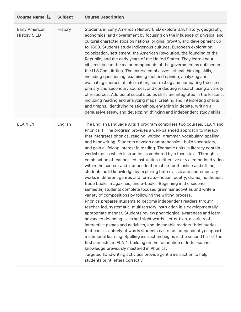| Course Name LE                 | <b>Subject</b> | <b>Course Description</b>                                                                                                                                                                                                                                                                                                                                                                                                                                                                                                                                                                                                                                                                                                                                                                                                                                                                                                                                                                                                                                                                                                                                                                                                                                                                                                                                                                                                                                                                                                                                                                                                                                                                                                            |
|--------------------------------|----------------|--------------------------------------------------------------------------------------------------------------------------------------------------------------------------------------------------------------------------------------------------------------------------------------------------------------------------------------------------------------------------------------------------------------------------------------------------------------------------------------------------------------------------------------------------------------------------------------------------------------------------------------------------------------------------------------------------------------------------------------------------------------------------------------------------------------------------------------------------------------------------------------------------------------------------------------------------------------------------------------------------------------------------------------------------------------------------------------------------------------------------------------------------------------------------------------------------------------------------------------------------------------------------------------------------------------------------------------------------------------------------------------------------------------------------------------------------------------------------------------------------------------------------------------------------------------------------------------------------------------------------------------------------------------------------------------------------------------------------------------|
| Early American<br>History 5 ED | History        | Students in Early American History 5 ED explore U.S. history, geography,<br>economics, and government by focusing on the influence of physical and<br>cultural characteristics on national origins, growth, and development up<br>to 1800. Students study Indigenous cultures, European exploration,<br>colonization, settlement, the American Revolution, the founding of the<br>Republic, and the early years of the United States. They learn about<br>citizenship and the major components of the government as outlined in<br>the U.S.Constitution. The course emphasizes critical thinking skills,<br>including questioning, examining fact and opinion, analyzing and<br>evaluating sources of information, contrasting and comparing the use of<br>primary and secondary sources, and conducting research using a variety<br>of resources. Additional social studies skills are integrated in the lessons,<br>including reading and analyzing maps, creating and interpreting charts<br>and graphs, identifying relationships, engaging in debate, writing a<br>persuasive essay, and developing thinking and independent study skills.                                                                                                                                                                                                                                                                                                                                                                                                                                                                                                                                                                                      |
| <b>ELA 1 E1</b>                | English        | The English Language Arts 1 program comprises two courses, ELA 1 and<br>Phonics 1. The program provides a well-balanced approach to literacy<br>that integrates phonics, reading, writing, grammar, vocabulary, spelling,<br>and handwriting. Students develop comprehension, build vocabulary,<br>and gain a lifelong interest in reading. Thematic units in literacy contain<br>workshops in which instruction is anchored by a focus text. Through a<br>combination of teacher-led instruction (either live or via embedded video<br>within the course) and independent practice (both online and offline),<br>students build knowledge by exploring both classic and contemporary<br>works in different genres and formats-fiction, poetry, drama, nonfiction,<br>trade books, magazines, and e-books. Beginning in the second<br>semester, students complete focused grammar activities and write a<br>variety of compositions by following the writing process.<br>Phonics prepares students to become independent readers through<br>teacher-led, systematic, multisensory instruction in a developmentally<br>appropriate manner. Students review phonological awareness and learn<br>advanced decoding skills and sight words. Letter tiles, a variety of<br>interactive games and activities, and decodable readers (brief stories<br>that consist entirely of words students can read independently) support<br>multimodal learning. Spelling instruction begins in the second half of the<br>first semester in ELA 1, building on the foundation of letter-sound<br>knowledge previously mastered in Phonics.<br>Targeted handwriting activities provide gentle instruction to help<br>students print letters correctly. |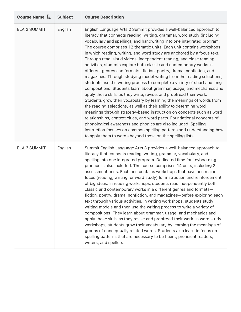| Course Name LE      | <b>Subject</b> | <b>Course Description</b>                                                                                                                                                                                                                                                                                                                                                                                                                                                                                                                                                                                                                                                                                                                                                                                                                                                                                                                                                                                                                                                                                                                                                                                                                                                                                                                                                                                      |
|---------------------|----------------|----------------------------------------------------------------------------------------------------------------------------------------------------------------------------------------------------------------------------------------------------------------------------------------------------------------------------------------------------------------------------------------------------------------------------------------------------------------------------------------------------------------------------------------------------------------------------------------------------------------------------------------------------------------------------------------------------------------------------------------------------------------------------------------------------------------------------------------------------------------------------------------------------------------------------------------------------------------------------------------------------------------------------------------------------------------------------------------------------------------------------------------------------------------------------------------------------------------------------------------------------------------------------------------------------------------------------------------------------------------------------------------------------------------|
| ELA 2 SUMMIT        | English        | English Language Arts 2 Summit provides a well-balanced approach to<br>literacy that connects reading, writing, grammar, word study (including<br>vocabulary and spelling), and handwriting into one integrated program.<br>The course comprises 12 thematic units. Each unit contains workshops<br>in which reading, writing, and word study are anchored by a focus text.<br>Through read-aloud videos, independent reading, and close reading<br>activities, students explore both classic and contemporary works in<br>different genres and formats-fiction, poetry, drama, nonfiction, and<br>magazines. Through studying model writing from the reading selections,<br>students use the writing process to complete a variety of short and long<br>compositions. Students learn about grammar, usage, and mechanics and<br>apply those skills as they write, revise, and proofread their work.<br>Students grow their vocabulary by learning the meanings of words from<br>the reading selections, as well as their ability to determine word<br>meanings through strategy-based instruction on concepts such as word<br>relationships, context clues, and word parts. Foundational concepts of<br>phonological awareness and phonics are also included. Spelling<br>instruction focuses on common spelling patterns and understanding how<br>to apply them to words beyond those on the spelling lists. |
| <b>ELA 3 SUMMIT</b> | English        | Summit English Language Arts 3 provides a well-balanced approach to<br>literacy that connects reading, writing, grammar, vocabulary, and<br>spelling into one integrated program. Dedicated time for keyboarding<br>practice is also included. The course comprises 14 units, including 2<br>assessment units. Each unit contains workshops that have one major<br>focus (reading, writing, or word study) for instruction and reinforcement<br>of big ideas. In reading workshops, students read independently both<br>classic and contemporary works in a different genres and formats-<br>fiction, poetry, drama, nonfiction, and magazines-before exploring each<br>text through various activities. In writing workshops, students study<br>writing models and then use the writing process to write a variety of<br>compositions. They learn about grammar, usage, and mechanics and<br>apply those skills as they revise and proofread their work. In word study<br>workshops, students grow their vocabulary by learning the meanings of<br>groups of conceptually related words. Students also learn to focus on<br>spelling patterns that are necessary to be fluent, proficient readers,<br>writers, and spellers.                                                                                                                                                                                  |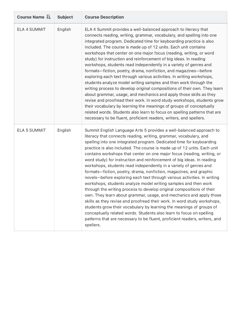| Course Name I=      | <b>Subject</b> | <b>Course Description</b>                                                                                                                                                                                                                                                                                                                                                                                                                                                                                                                                                                                                                                                                                                                                                                                                                                                                                                                                                                                                                                                                                                                                                                                         |
|---------------------|----------------|-------------------------------------------------------------------------------------------------------------------------------------------------------------------------------------------------------------------------------------------------------------------------------------------------------------------------------------------------------------------------------------------------------------------------------------------------------------------------------------------------------------------------------------------------------------------------------------------------------------------------------------------------------------------------------------------------------------------------------------------------------------------------------------------------------------------------------------------------------------------------------------------------------------------------------------------------------------------------------------------------------------------------------------------------------------------------------------------------------------------------------------------------------------------------------------------------------------------|
| ELA 4 SUMMIT        | English        | ELA 4 Summit provides a well-balanced approach to literacy that<br>connects reading, writing, grammar, vocabulary, and spelling into one<br>integrated program. Dedicated time for keyboarding practice is also<br>included. The course is made up of 12 units. Each unit contains<br>workshops that center on one major focus (reading, writing, or word<br>study) for instruction and reinforcement of big ideas. In reading<br>workshops, students read independently in a variety of genres and<br>formats-fiction, poetry, drama, nonfiction, and magazines-before<br>exploring each text through various activities. In writing workshops,<br>students analyze model writing samples and then work through the<br>writing process to develop original compositions of their own. They learn<br>about grammar, usage, and mechanics and apply those skills as they<br>revise and proofread their work. In word study workshops, students grow<br>their vocabulary by learning the meanings of groups of conceptually<br>related words. Students also learn to focus on spelling patterns that are<br>necessary to be fluent, proficient readers, writers, and spellers.                                      |
| <b>ELA 5 SUMMIT</b> | English        | Summit English Language Arts 5 provides a well-balanced approach to<br>literacy that connects reading, writing, grammar, vocabulary, and<br>spelling into one integrated program. Dedicated time for keyboarding<br>practice is also included. The course is made up of 12 units. Each unit<br>contains workshops that center on one major focus (reading, writing, or<br>word study) for instruction and reinforcement of big ideas. In reading<br>workshops, students read independently in a variety of genres and<br>formats-fiction, poetry, drama, nonfiction, magazines, and graphic<br>novels-before exploring each text through various activities. In writing<br>workshops, students analyze model writing samples and then work<br>through the writing process to develop original compositions of their<br>own. They learn about grammar, usage, and mechanics and apply those<br>skills as they revise and proofread their work. In word study workshops,<br>students grow their vocabulary by learning the meanings of groups of<br>conceptually related words. Students also learn to focus on spelling<br>patterns that are necessary to be fluent, proficient readers, writers, and<br>spellers. |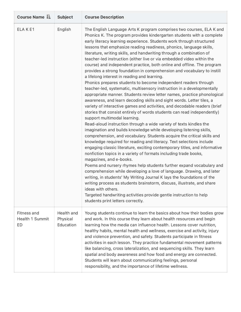| Course Name LE                              | <b>Subject</b>                      | <b>Course Description</b>                                                                                                                                                                                                                                                                                                                                                                                                                                                                                                                                                                                                                                                                                                                                                                                                                                                                                                                                                                                                                                                                                                                                                                                                                                                                                                                                                                                                                                                                                                                                                                                                                                                                                                                                                                                                                                                                                                                                                                                                                                      |
|---------------------------------------------|-------------------------------------|----------------------------------------------------------------------------------------------------------------------------------------------------------------------------------------------------------------------------------------------------------------------------------------------------------------------------------------------------------------------------------------------------------------------------------------------------------------------------------------------------------------------------------------------------------------------------------------------------------------------------------------------------------------------------------------------------------------------------------------------------------------------------------------------------------------------------------------------------------------------------------------------------------------------------------------------------------------------------------------------------------------------------------------------------------------------------------------------------------------------------------------------------------------------------------------------------------------------------------------------------------------------------------------------------------------------------------------------------------------------------------------------------------------------------------------------------------------------------------------------------------------------------------------------------------------------------------------------------------------------------------------------------------------------------------------------------------------------------------------------------------------------------------------------------------------------------------------------------------------------------------------------------------------------------------------------------------------------------------------------------------------------------------------------------------------|
| ELAKE1                                      | English                             | The English Language Arts K program comprises two courses, ELA K and<br>Phonics K. The program provides kindergarten students with a complete<br>early literacy learning experience. Students work through structured<br>lessons that emphasize reading readiness, phonics, language skills,<br>literature, writing skills, and handwriting through a combination of<br>teacher-led instruction (either live or via embedded video within the<br>course) and independent practice, both online and offline. The program<br>provides a strong foundation in comprehension and vocabulary to instill<br>a lifelong interest in reading and learning.<br>Phonics prepares students to become independent readers through<br>teacher-led, systematic, multisensory instruction in a developmentally<br>appropriate manner. Students review letter names, practice phonological<br>awareness, and learn decoding skills and sight words. Letter tiles, a<br>variety of interactive games and activities, and decodable readers (brief<br>stories that consist entirely of words students can read independently)<br>support multimodal learning.<br>Read-aloud instruction through a wide variety of texts kindles the<br>imagination and builds knowledge while developing listening skills,<br>comprehension, and vocabulary. Students acquire the critical skills and<br>knowledge required for reading and literacy. Text selections include<br>engaging classic literature, exciting contemporary titles, and informative<br>nonfiction topics in a variety of formats including trade books,<br>magazines, and e-books.<br>Poems and nursery rhymes help students further expand vocabulary and<br>comprehension while developing a love of language. Drawing, and later<br>writing, in students' My Writing Journal K lays the foundations of the<br>writing process as students brainstorm, discuss, illustrate, and share<br>ideas with others.<br>Targeted handwriting activities provide gentle instruction to help<br>students print letters correctly. |
| <b>Fitness and</b><br>Health 1 Summit<br>ED | Health and<br>Physical<br>Education | Young students continue to learn the basics about how their bodies grow<br>and work. In this course they learn about health resources and begin<br>learning how the media can influence health. Lessons cover nutrition,<br>healthy habits, mental health and wellness, exercise and activity, injury<br>and violence prevention, and safety. Students participate in fitness<br>activities in each lesson. They practice fundamental movement patterns<br>like balancing, cross lateralization, and sequencing skills. They learn<br>spatial and body awareness and how food and energy are connected.<br>Students will learn about communicating feelings, personal<br>responsibility, and the importance of lifetime wellness.                                                                                                                                                                                                                                                                                                                                                                                                                                                                                                                                                                                                                                                                                                                                                                                                                                                                                                                                                                                                                                                                                                                                                                                                                                                                                                                              |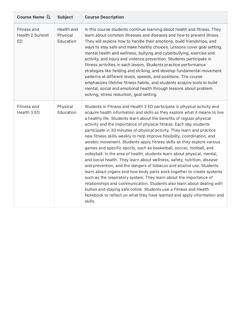| Course Name LE                       | <b>Subject</b>                      | <b>Course Description</b>                                                                                                                                                                                                                                                                                                                                                                                                                                                                                                                                                                                                                                                                                                                                                                                                                                                                                                                                                                                                                                                                                                                                                                                                               |
|--------------------------------------|-------------------------------------|-----------------------------------------------------------------------------------------------------------------------------------------------------------------------------------------------------------------------------------------------------------------------------------------------------------------------------------------------------------------------------------------------------------------------------------------------------------------------------------------------------------------------------------------------------------------------------------------------------------------------------------------------------------------------------------------------------------------------------------------------------------------------------------------------------------------------------------------------------------------------------------------------------------------------------------------------------------------------------------------------------------------------------------------------------------------------------------------------------------------------------------------------------------------------------------------------------------------------------------------|
| Fitness and<br>Health 2 Summit<br>ED | Health and<br>Physical<br>Education | In this course students continue learning about health and fitness. They<br>learn about common illnesses and diseases and how to prevent illness.<br>They will explore how to handle their emotions, build friendships, and<br>ways to stay safe and make healthy choices. Lessons cover goal setting,<br>mental health and wellness, bullying and cyberbullying, exercise and<br>activity, and injury and violence prevention. Students participate in<br>fitness activities in each lesson. Students practice performance<br>strategies like fielding and striking, and develop fundamental movement<br>patterns at different levels, speeds, and positions. The course<br>emphasizes lifetime fitness habits, and students acquire tools to build<br>mental, social and emotional health through lessons about problem<br>solving, stress reduction, goal setting.                                                                                                                                                                                                                                                                                                                                                                   |
| Fitness and<br>Health 3 ED           | Physical<br>Education               | Students in Fitness and Health 3 ED participate in physical activity and<br>acquire health information and skills as they explore what it means to live<br>a healthy life. Students learn about the benefits of regular physical<br>activity and the importance of physical fitness. Each day students<br>participate in 30 minutes of physical activity. They learn and practice<br>new fitness skills weekly to help improve flexibility, coordination, and<br>aerobic movement. Students apply fitness skills as they explore various<br>games and specific sports, such as basketball, soccer, football, and<br>volleyball. In the area of health, students learn about physical, mental,<br>and social health. They learn about wellness, safety, nutrition, disease<br>and prevention, and the dangers of tobacco and alcohol use. Students<br>learn about organs and how body parts work together to create systems<br>such as the respiratory system. They learn about the importance of<br>relationships and communication. Students also learn about dealing with<br>bullies and staying safe online. Students use a Fitness and Health<br>Notebook to reflect on what they have learned and apply information and<br>skills. |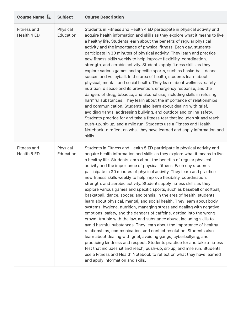| Course Name LE             | <b>Subject</b>        | <b>Course Description</b>                                                                                                                                                                                                                                                                                                                                                                                                                                                                                                                                                                                                                                                                                                                                                                                                                                                                                                                                                                                                                                                                                                                                                                                                                                                                                                                                                                                                                                                                     |
|----------------------------|-----------------------|-----------------------------------------------------------------------------------------------------------------------------------------------------------------------------------------------------------------------------------------------------------------------------------------------------------------------------------------------------------------------------------------------------------------------------------------------------------------------------------------------------------------------------------------------------------------------------------------------------------------------------------------------------------------------------------------------------------------------------------------------------------------------------------------------------------------------------------------------------------------------------------------------------------------------------------------------------------------------------------------------------------------------------------------------------------------------------------------------------------------------------------------------------------------------------------------------------------------------------------------------------------------------------------------------------------------------------------------------------------------------------------------------------------------------------------------------------------------------------------------------|
| Fitness and<br>Health 4 ED | Physical<br>Education | Students in Fitness and Health 4 ED participate in physical activity and<br>acquire health information and skills as they explore what it means to live<br>a healthy life. Students learn about the benefits of regular physical<br>activity and the importance of physical fitness. Each day, students<br>participate in 30 minutes of physical activity. They learn and practice<br>new fitness skills weekly to help improve flexibility, coordination,<br>strength, and aerobic activity. Students apply fitness skills as they<br>explore various games and specific sports, such as basketball, dance,<br>soccer, and volleyball. In the area of health, students learn about<br>physical, mental, and social health. They learn about wellness, safety,<br>nutrition, disease and its prevention, emergency response, and the<br>dangers of drug, tobacco, and alcohol use, including skills in refusing<br>harmful substances. They learn about the importance of relationships<br>and communication. Students also learn about dealing with grief,<br>avoiding gangs, addressing bullying, and outdoor and online safety.<br>Students practice for and take a fitness test that includes sit and reach,<br>push-up, sit-up, and a mile run. Students use a Fitness and Health<br>Notebook to reflect on what they have learned and apply information and<br>skills.                                                                                                                  |
| Fitness and<br>Health 5 ED | Physical<br>Education | Students in Fitness and Health 5 ED participate in physical activity and<br>acquire health information and skills as they explore what it means to live<br>a healthy life. Students learn about the benefits of regular physical<br>activity and the importance of physical fitness. Each day students<br>participate in 30 minutes of physical activity. They learn and practice<br>new fitness skills weekly to help improve flexibility, coordination,<br>strength, and aerobic activity. Students apply fitness skills as they<br>explore various games and specific sports, such as baseball or softball,<br>basketball, dance, soccer, and tennis. In the area of health, students<br>learn about physical, mental, and social health. They learn about body<br>systems, hygiene, nutrition, managing stress and dealing with negative<br>emotions, safety, and the dangers of caffeine, getting into the wrong<br>crowd, trouble with the law, and substance abuse, including skills to<br>avoid harmful substances. They learn about the importance of healthy<br>relationships, communication, and conflict resolution. Students also<br>learn about dealing with grief, avoiding gangs, cyberbullying, and<br>practicing kindness and respect. Students practice for and take a fitness<br>test that includes sit and reach, push-up, sit-up, and mile run. Students<br>use a Fitness and Health Notebook to reflect on what they have learned<br>and apply information and skills. |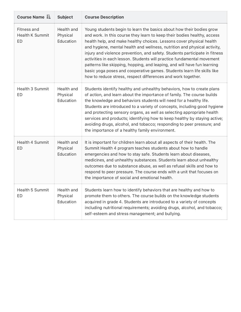| Course Name LE                                     | <b>Subject</b>                      | <b>Course Description</b>                                                                                                                                                                                                                                                                                                                                                                                                                                                                                                                                                                                                                                                             |
|----------------------------------------------------|-------------------------------------|---------------------------------------------------------------------------------------------------------------------------------------------------------------------------------------------------------------------------------------------------------------------------------------------------------------------------------------------------------------------------------------------------------------------------------------------------------------------------------------------------------------------------------------------------------------------------------------------------------------------------------------------------------------------------------------|
| <b>Fitness and</b><br><b>Health K Summit</b><br>ED | Health and<br>Physical<br>Education | Young students begin to learn the basics about how their bodies grow<br>and work. In this course they learn to keep their bodies healthy, access<br>health help, and make healthy choices. Lessons cover physical health<br>and hygiene, mental health and wellness, nutrition and physical activity,<br>injury and violence prevention, and safety. Students participate in fitness<br>activities in each lesson. Students will practice fundamental movement<br>patterns like skipping, hopping, and leaping, and will have fun learning<br>basic yoga poses and cooperative games. Students learn life skills like<br>how to reduce stress, respect differences and work together. |
| Health 3 Summit<br>ED                              | Health and<br>Physical<br>Education | Students identify healthy and unhealthy behaviors, how to create plans<br>of action, and learn about the importance of family. The course builds<br>the knowledge and behaviors students will need for a healthy life.<br>Students are introduced to a variety of concepts, including good hygiene<br>and protecting sensory organs, as well as selecting appropriate health<br>services and products; identifying how to keep healthy by staying active;<br>avoiding drugs, alcohol, and tobacco; responding to peer pressure; and<br>the importance of a healthy family environment.                                                                                                |
| Health 4 Summit<br>ED                              | Health and<br>Physical<br>Education | It is important for children learn about all aspects of their health. The<br>Summit Health 4 program teaches students about how to handle<br>emergencies and how to stay safe. Students learn about diseases,<br>medicines, and unhealthy substances. Students learn about unhealthy<br>outcomes due to substance abuse, as well as refusal skills and how to<br>respond to peer pressure. The course ends with a unit that focuses on<br>the importance of social and emotional health.                                                                                                                                                                                              |
| Health 5 Summit<br>ED                              | Health and<br>Physical<br>Education | Students learn how to identify behaviors that are healthy and how to<br>promote them to others. The course builds on the knowledge students<br>acquired in grade 4. Students are introduced to a variety of concepts<br>including nutritional requirements; avoiding drugs, alcohol, and tobacco;<br>self-esteem and stress management; and bullying.                                                                                                                                                                                                                                                                                                                                 |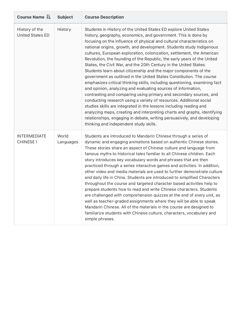| Course Name I=                            | <b>Subject</b>     | <b>Course Description</b>                                                                                                                                                                                                                                                                                                                                                                                                                                                                                                                                                                                                                                                                                                                                                                                                                                                                                                                                                                                                                                                                                                                                                                                                     |
|-------------------------------------------|--------------------|-------------------------------------------------------------------------------------------------------------------------------------------------------------------------------------------------------------------------------------------------------------------------------------------------------------------------------------------------------------------------------------------------------------------------------------------------------------------------------------------------------------------------------------------------------------------------------------------------------------------------------------------------------------------------------------------------------------------------------------------------------------------------------------------------------------------------------------------------------------------------------------------------------------------------------------------------------------------------------------------------------------------------------------------------------------------------------------------------------------------------------------------------------------------------------------------------------------------------------|
| History of the<br><b>United States ED</b> | History            | Students in History of the United States ED explore United States<br>history, geography, economics, and government. This is done by<br>focusing on the influence of physical and cultural characteristics on<br>national origins, growth, and development. Students study Indigenous<br>cultures, European exploration, colonization, settlement, the American<br>Revolution, the founding of the Republic, the early years of the United<br>States, the Civil War, and the 20th Century in the United States.<br>Students learn about citizenship and the major components of the<br>government as outlined in the United States Constitution. The course<br>emphasizes critical thinking skills, including questioning, examining fact<br>and opinion, analyzing and evaluating sources of information,<br>contrasting and comparing using primary and secondary sources, and<br>conducting research using a variety of resources. Additional social<br>studies skills are integrated in the lessons including reading and<br>analyzing maps, creating and interpreting charts and graphs, identifying<br>relationships, engaging in debate, writing persuasively, and developing<br>thinking and independent study skills. |
| <b>INTERMEDIATE</b><br><b>CHINESE I</b>   | World<br>Languages | Students are introduced to Mandarin Chinese through a series of<br>dynamic and engaging animations based on authentic Chinese stories.<br>These stories share an aspect of Chinese culture and language from<br>famous myths to historical tales familiar to all Chinese children. Each<br>story introduces key vocabulary words and phrases that are then<br>practiced through a series interactive games and activities. In addition,<br>other video and media materials are used to further demonstrate culture<br>and daily life in China. Students are introduced to simplified Characters<br>throughout the course and targeted character based activities help to<br>prepare students how to read and write Chinese characters. Students<br>are challenged with comprehension quizzes at the end of every unit, as<br>well as teacher-graded assignments where they will be able to speak<br>Mandarin Chinese. All of the materials in the course are designed to<br>familiarize students with Chinese culture, characters, vocabulary and<br>simple phrases.                                                                                                                                                          |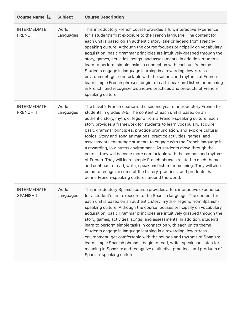| Course Name LE                          | <b>Subject</b>     | <b>Course Description</b>                                                                                                                                                                                                                                                                                                                                                                                                                                                                                                                                                                                                                                                                                                                                                                                                                                                                                                                             |
|-----------------------------------------|--------------------|-------------------------------------------------------------------------------------------------------------------------------------------------------------------------------------------------------------------------------------------------------------------------------------------------------------------------------------------------------------------------------------------------------------------------------------------------------------------------------------------------------------------------------------------------------------------------------------------------------------------------------------------------------------------------------------------------------------------------------------------------------------------------------------------------------------------------------------------------------------------------------------------------------------------------------------------------------|
| <b>INTERMEDIATE</b><br><b>FRENCH I</b>  | World<br>Languages | This introductory French course provides a fun, interactive experience<br>for a student's first exposure to the French language. The content for<br>each unit is based on an authentic story, tale or legend from French-<br>speaking culture. Although the course focuses principally on vocabulary<br>acquisition, basic grammar principles are intuitively grasped through the<br>story, games, activities, songs, and assessments. In addition, students<br>learn to perform simple tasks in connection with each unit's theme.<br>Students engage in language learning in a rewarding, low-stress<br>environment; get comfortable with the sounds and rhythms of French;<br>learn simple French phrases; begin to read, speak and listen for meaning<br>in French; and recognize distinctive practices and products of French-<br>speaking culture.                                                                                              |
| <b>INTERMEDIATE</b><br><b>FRENCH II</b> | World<br>Languages | The Level 2 French course is the second year of introductory French for<br>students in grades 3-5. The content of each unit is based on an<br>authentic story, myth, or legend from a French-speaking culture. Each<br>story provides a framework for students to learn vocabulary, acquire<br>basic grammar principles, practice pronunciation, and explore cultural<br>topics. Story and song animations, practice activities, games, and<br>assessments encourage students to engage with the French language in<br>a rewarding, low-stress environment. As students move through the<br>course, they will become more comfortable with the sounds and rhythms<br>of French. They will learn simple French phrases related to each theme,<br>and continue to read, write, speak and listen for meaning. They will also<br>come to recognize some of the history, practices, and products that<br>define French-speaking cultures around the world. |
| <b>INTERMEDIATE</b><br><b>SPANISH I</b> | World<br>Languages | This introductory Spanish course provides a fun, interactive experience<br>for a student's first exposure to the Spanish language. The content for<br>each unit is based on an authentic story, myth or legend from Spanish-<br>speaking culture. Although the course focuses principally on vocabulary<br>acquisition, basic grammar principles are intuitively grasped through the<br>story, games, activities, songs, and assessments. In addition, students<br>learn to perform simple tasks in connection with each unit's theme.<br>Students engage in language learning in a rewarding, low-stress<br>environment; get comfortable with the sounds and rhythms of Spanish;<br>learn simple Spanish phrases; begin to read, write, speak and listen for<br>meaning in Spanish; and recognize distinctive practices and products of<br>Spanish-speaking culture.                                                                                 |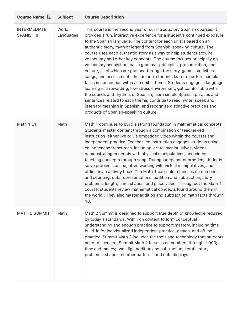| Course Name LE                           | <b>Subject</b>     | <b>Course Description</b>                                                                                                                                                                                                                                                                                                                                                                                                                                                                                                                                                                                                                                                                                                                                                                                                                                                                                                                                                                                                                                                                     |
|------------------------------------------|--------------------|-----------------------------------------------------------------------------------------------------------------------------------------------------------------------------------------------------------------------------------------------------------------------------------------------------------------------------------------------------------------------------------------------------------------------------------------------------------------------------------------------------------------------------------------------------------------------------------------------------------------------------------------------------------------------------------------------------------------------------------------------------------------------------------------------------------------------------------------------------------------------------------------------------------------------------------------------------------------------------------------------------------------------------------------------------------------------------------------------|
| <b>INTERMEDIATE</b><br><b>SPANISH II</b> | World<br>Languages | This course is the second year of our introductory Spanish courses. It<br>provides a fun, interactive experience for a student's continued exposure<br>to the Spanish language. The content for each unit is based on an<br>authentic story, myth or legend from Spanish-speaking culture. The<br>course uses each authentic story as a way to help students acquire<br>vocabulary and other key concepts. The course focuses principally on<br>vocabulary acquisition, basic grammar principles, pronunciation, and<br>culture, all of which are grasped through the story, games, activities,<br>songs, and assessments. In addition, students learn to perform simple<br>tasks in connection with each unit's theme. Students engage in language<br>learning in a rewarding, low-stress environment; get comfortable with<br>the sounds and rhythms of Spanish; learn simple Spanish phrases and<br>sentences related to each theme; continue to read, write, speak and<br>listen for meaning in Spanish; and recognize distinctive practices and<br>products of Spanish-speaking culture. |
| Math 1 E1                                | Math               | Math 1 continues to build a strong foundation in mathematical concepts.<br>Students master content through a combination of teacher-led<br>instruction (either live or via embedded video within the course) and<br>independent practice. Teacher-led instruction engages students using<br>online teacher resources, including virtual manipulatives, videos<br>demonstrating concepts with physical manipulatives, and videos<br>teaching concepts through song. During independent practice, students<br>solve problems online, often working with virtual manipulatives, and<br>offline in an activity book. The Math 1 curriculum focuses on numbers<br>and counting, data representations, addition and subtraction, story<br>problems, length, time, shapes, and place value. Throughout the Math 1<br>course, students review mathematical concepts found around them in<br>the world They also master addition and subtraction math facts through<br>10.                                                                                                                             |
| MATH 2 SUMMIT                            | Math               | Math 2 Summit is designed to support true depth of knowledge required<br>by today's standards. With rich content to form conceptual<br>understanding and enough practice to support mastery, including time<br>build-in for individualized independent practice, games, and offline<br>practice, Summit Math 2 includes the tools and technology that students<br>need to succeed. Summit Math 2 focuses on numbers through 1,000;<br>time and money; two-digit addition and subtraction; length; story<br>problems; shapes; number patterns; and data displays.                                                                                                                                                                                                                                                                                                                                                                                                                                                                                                                              |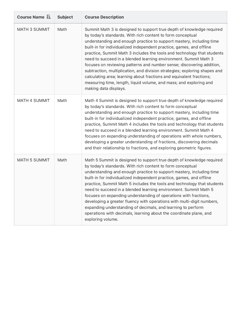| Course Name LE | <b>Subject</b> | <b>Course Description</b>                                                                                                                                                                                                                                                                                                                                                                                                                                                                                                                                                                                                                                                                                                                                        |
|----------------|----------------|------------------------------------------------------------------------------------------------------------------------------------------------------------------------------------------------------------------------------------------------------------------------------------------------------------------------------------------------------------------------------------------------------------------------------------------------------------------------------------------------------------------------------------------------------------------------------------------------------------------------------------------------------------------------------------------------------------------------------------------------------------------|
| MATH 3 SUMMIT  | Math           | Summit Math 3 is designed to support true depth of knowledge required<br>by today's standards. With rich content to form conceptual<br>understanding and enough practice to support mastery, including time<br>built-in for individualized independent practice, games, and offline<br>practice, Summit Math 3 includes the tools and technology that students<br>need to succeed in a blended learning environment. Summit Math 3<br>focuses on reviewing patterns and number sense; discovering addition,<br>subtraction, multiplication, and division strategies; exploring shapes and<br>calculating area; learning about fractions and equivalent fractions;<br>measuring time, length, liquid volume, and mass; and exploring and<br>making data displays. |
| MATH 4 SUMMIT  | Math           | Math 4 Summit is designed to support true depth of knowledge required<br>by today's standards. With rich content to form conceptual<br>understanding and enough practice to support mastery, including time<br>built-in for individualized independent practice, games, and offline<br>practice, Summit Math 4 includes the tools and technology that students<br>need to succeed in a blended learning environment. Summit Math 4<br>focuses on expanding understanding of operations with whole numbers,<br>developing a greater understanding of fractions, discovering decimals<br>and their relationship to fractions, and exploring geometric figures.                                                                                                     |
| MATH 5 SUMMIT  | Math           | Math 5 Summit is designed to support true depth of knowledge required<br>by today's standards. With rich content to form conceptual<br>understanding and enough practice to support mastery, including time<br>built-in for individualized independent practice, games, and offline<br>practice, Summit Math 5 includes the tools and technology that students<br>need to succeed in a blended learning environment. Summit Math 5<br>focuses on expanding understanding of operations with fractions,<br>developing a greater fluency with operations with multi-digit numbers,<br>expanding understanding of decimals, and learning to perform<br>operations with decimals, learning about the coordinate plane, and<br>exploring volume.                      |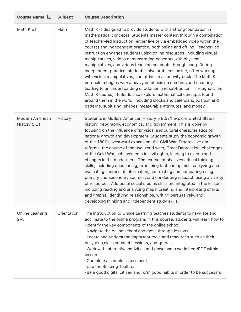| Course Name $I$ =               | <b>Subject</b> | <b>Course Description</b>                                                                                                                                                                                                                                                                                                                                                                                                                                                                                                                                                                                                                                                                                                                                                                                                                                                                                                                                                                                                                                                                       |
|---------------------------------|----------------|-------------------------------------------------------------------------------------------------------------------------------------------------------------------------------------------------------------------------------------------------------------------------------------------------------------------------------------------------------------------------------------------------------------------------------------------------------------------------------------------------------------------------------------------------------------------------------------------------------------------------------------------------------------------------------------------------------------------------------------------------------------------------------------------------------------------------------------------------------------------------------------------------------------------------------------------------------------------------------------------------------------------------------------------------------------------------------------------------|
| Math K E1                       | Math           | Math K is designed to provide students with a strong foundation in<br>mathematical concepts. Students master content through a combination<br>of teacher-led instruction (either live or via embedded video within the<br>course) and independent practice, both online and offline. Teacher-led<br>instruction engages students using online resources, including virtual<br>manipulatives, videos demonstrating concepts with physical<br>manipulatives, and videos teaching concepts through song. During<br>independent practice, students solve problems online, often working<br>with virtual manipulatives, and offline in an activity book. The Math K<br>curriculum begins with a heavy emphasis on numbers and counting,<br>leading to an understanding of addition and subtraction. Throughout the<br>Math K course, students also explore mathematical concepts found<br>around them in the world, including clocks and calendars, position and<br>patterns, subitizing, shapes, measurable attributes, and money.                                                                  |
| Modern American<br>History 5 E1 | History        | Students in Modern American History 5 ED/E1 explore United States<br>history, geography, economics, and government. This is done by<br>focusing on the influence of physical and cultural characteristics on<br>national growth and development. Students study the economic growth<br>of the 1800s, westward expansion, the Civil War, Progressive era<br>reforms, the course of the two world wars, Great Depression, challenges<br>of the Cold War, achievements in civil rights, leading to events and<br>changes in the modern era. The course emphasizes critical thinking<br>skills, including questioning, examining fact and opinion, analyzing and<br>evaluating sources of information, contrasting and comparing using<br>primary and secondary sources, and conducting research using a variety<br>of resources. Additional social studies skills are integrated in the lessons<br>including reading and analyzing maps, creating and interpreting charts<br>and graphs, identifying relationships, writing persuasively, and<br>developing thinking and independent study skills. |
| Online Learning<br>$2 - 5$      | Orientation    | The Introduction to Online Learning teaches students to navigate and<br>acclimate to the online program. In this course, students will learn how to<br>-Identify the key components of the online school.<br>-Navigate the online school and move through lessons.<br>-Locate and understand important tools and resources such as their<br>daily plan, class connect sessions, and grades.<br>-Work with interactive activities and download a worksheet/PDF within a<br>lesson.<br>-Complete a sample assessment.<br>-Use the Reading Toolbar.<br>-Be a good digital citizen and form good habits in order to be successful.                                                                                                                                                                                                                                                                                                                                                                                                                                                                  |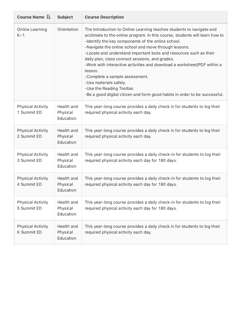| Course Name $I$ =                              | <b>Subject</b>                      | <b>Course Description</b>                                                                                                                                                                                                                                                                                                                                                                                                                                                                                                                                                                                                                                |
|------------------------------------------------|-------------------------------------|----------------------------------------------------------------------------------------------------------------------------------------------------------------------------------------------------------------------------------------------------------------------------------------------------------------------------------------------------------------------------------------------------------------------------------------------------------------------------------------------------------------------------------------------------------------------------------------------------------------------------------------------------------|
| <b>Online Learning</b><br>$K-1$                | Orientation                         | The Introduction to Online Learning teaches students to navigate and<br>acclimate to the online program. In this course, students will learn how to<br>-Identify the key components of the online school.<br>-Navigate the online school and move through lessons.<br>-Locate and understand important tools and resources such as their<br>daily plan, class connect sessions, and grades.<br>-Work with interactive activities and download a worksheet/PDF within a<br>lesson.<br>-Complete a sample assessment.<br>-Use materials safely.<br>-Use the Reading Toolbar.<br>-Be a good digital citizen and form good habits in order to be successful. |
| <b>Physical Activity</b><br>1 Summit ED        | Health and<br>Physical<br>Education | This year-long course provides a daily check in for students to log their<br>required physical activity each day.                                                                                                                                                                                                                                                                                                                                                                                                                                                                                                                                        |
| <b>Physical Activity</b><br>2 Summit ED        | Health and<br>Physical<br>Education | This year-long course provides a daily check in for students to log their<br>required physical activity each day.                                                                                                                                                                                                                                                                                                                                                                                                                                                                                                                                        |
| <b>Physical Activity</b><br>3 Summit ED        | Health and<br>Physical<br>Education | This year-long course provides a daily check-in for students to log their<br>required physical activity each day for 180 days.                                                                                                                                                                                                                                                                                                                                                                                                                                                                                                                           |
| <b>Physical Activity</b><br>4 Summit ED        | Health and<br>Physical<br>Education | This year-long course provides a daily check-in for students to log their<br>required physical activity each day for 180 days.                                                                                                                                                                                                                                                                                                                                                                                                                                                                                                                           |
| <b>Physical Activity</b><br>5 Summit ED        | Health and<br>Physical<br>Education | This year-long course provides a daily check-in for students to log their<br>required physical activity each day for 180 days.                                                                                                                                                                                                                                                                                                                                                                                                                                                                                                                           |
| <b>Physical Activity</b><br><b>K Summit ED</b> | Health and<br>Physical<br>Education | This year-long course provides a daily check in for students to log their<br>required physical activity each day.                                                                                                                                                                                                                                                                                                                                                                                                                                                                                                                                        |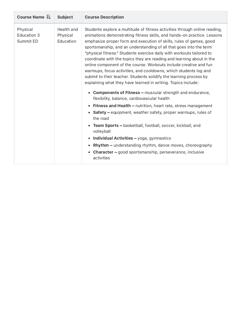| Course Name $I$ =                           | <b>Subject</b>                      | <b>Course Description</b>                                                                                                                                                                                                                                                                                                                                                                                                                                                                                                                                                                                                                                                                                                                                                                                                                                                                                                                                                                                                                                                                                                                                                                                                                                                                                                    |
|---------------------------------------------|-------------------------------------|------------------------------------------------------------------------------------------------------------------------------------------------------------------------------------------------------------------------------------------------------------------------------------------------------------------------------------------------------------------------------------------------------------------------------------------------------------------------------------------------------------------------------------------------------------------------------------------------------------------------------------------------------------------------------------------------------------------------------------------------------------------------------------------------------------------------------------------------------------------------------------------------------------------------------------------------------------------------------------------------------------------------------------------------------------------------------------------------------------------------------------------------------------------------------------------------------------------------------------------------------------------------------------------------------------------------------|
| Physical<br><b>Education 3</b><br>Summit ED | Health and<br>Physical<br>Education | Students explore a multitude of fitness activities through online reading,<br>animations demonstrating fitness skills, and hands-on practice. Lessons<br>emphasize proper form and execution of skills, rules of games, good<br>sportsmanship, and an understanding of all that goes into the term<br>"physical fitness." Students exercise daily with workouts tailored to<br>coordinate with the topics they are reading and learning about in the<br>online component of the course. Workouts include creative and fun<br>warmups, focus activities, and cooldowns, which students log and<br>submit to their teacher. Students solidify the learning process by<br>explaining what they have learned in writing. Topics include:<br><b>Components of Fitness - muscular strength and endurance,</b><br>$\bullet$<br>flexibility, balance, cardiovascular health<br><b>Fitness and Health - nutrition, heart rate, stress management</b><br>• Safety – equipment, weather safety, proper warmups, rules of<br>the road<br>Team Sports - basketball, football, soccer, kickball, and<br>$\bullet$<br>volleyball<br><b>Individual Activities - yoga, gymnastics</b><br><b>Rhythm - understanding rhythm, dance moves, choreography</b><br><b>Character - good sportsmanship, perseverance, inclusive</b><br>٠<br>activities |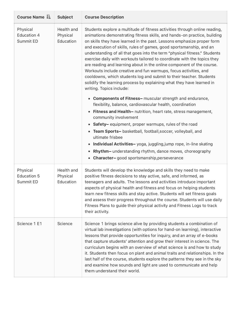| Course Name LE                              | <b>Subject</b>                      | <b>Course Description</b>                                                                                                                                                                                                                                                                                                                                                                                                                                                                                                                                                                                                                                                                                                                                                                 |
|---------------------------------------------|-------------------------------------|-------------------------------------------------------------------------------------------------------------------------------------------------------------------------------------------------------------------------------------------------------------------------------------------------------------------------------------------------------------------------------------------------------------------------------------------------------------------------------------------------------------------------------------------------------------------------------------------------------------------------------------------------------------------------------------------------------------------------------------------------------------------------------------------|
| Physical<br>Education 4<br>Summit ED        | Health and<br>Physical<br>Education | Students explore a multitude of fitness activities through online reading,<br>animations demonstrating fitness skills, and hands-on practice, building<br>on skills they have learned in the past. Lessons emphasize proper form<br>and execution of skills, rules of games, good sportsmanship, and an<br>understanding of all that goes into the term "physical fitness." Students<br>exercise daily with workouts tailored to coordinate with the topics they<br>are reading and learning about in the online component of the course.<br>Workouts include creative and fun warmups, focus activities, and<br>cooldowns, which students log and submit to their teacher. Students<br>solidify the learning process by explaining what they have learned in<br>writing. Topics include: |
|                                             |                                     | • Components of Fitness- muscular strength and endurance,<br>flexibility, balance, cardiovascular health, coordination                                                                                                                                                                                                                                                                                                                                                                                                                                                                                                                                                                                                                                                                    |
|                                             |                                     | <b>Fitness and Health-</b> nutrition, heart rate, stress management,<br>$\bullet$<br>community involvement<br>Safety-equipment, proper warmups, rules of the road<br>$\bullet$<br>Team Sports- basketball, football, soccer, volleyball, and<br>$\bullet$<br>ultimate frisbee<br>Individual Activities-yoga, juggling, jump rope, in-line skating<br>٠<br>Rhythm- understanding rhythm, dance moves, choreography<br>٠<br><b>Character-</b> good sportsmanship, perseverance                                                                                                                                                                                                                                                                                                              |
| Physical<br><b>Education 5</b><br>Summit ED | Health and<br>Physical<br>Education | Students will develop the knowledge and skills they need to make<br>positive fitness decisions to stay active, safe, and informed, as<br>teenagers and adults. The lessons and activities introduce important<br>aspects of physical health and fitness and focus on helping students<br>learn new fitness skills and stay active. Students will set fitness goals<br>and assess their progress throughout the course. Students will use daily<br>Fitness Plans to guide their physical activity and Fitness Logs to track<br>their activity.                                                                                                                                                                                                                                             |
| Science 1 E1                                | Science                             | Science 1 brings science alive by providing students a combination of<br>virtual lab investigations (with options for hand-on learning), interactive<br>lessons that provide opportunities for inquiry, and an array of e-books<br>that capture students' attention and grow their interest in science. The<br>curriculum begins with an overview of what science is and how to study<br>it. Students then focus on plant and animal traits and relationships. In the<br>last half of the course, students explore the patterns they see in the sky<br>and examine how sounds and light are used to communicate and help<br>them understand their world.                                                                                                                                  |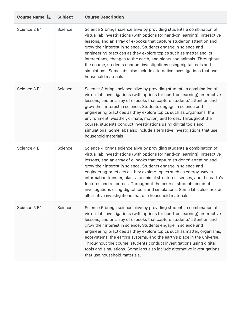| Course Name JE | <b>Subject</b> | <b>Course Description</b>                                                                                                                                                                                                                                                                                                                                                                                                                                                                                                                                                                                                                                         |
|----------------|----------------|-------------------------------------------------------------------------------------------------------------------------------------------------------------------------------------------------------------------------------------------------------------------------------------------------------------------------------------------------------------------------------------------------------------------------------------------------------------------------------------------------------------------------------------------------------------------------------------------------------------------------------------------------------------------|
| Science 2 E1   | Science        | Science 2 brings science alive by providing students a combination of<br>virtual lab investigations (with options for hand-on learning), interactive<br>lessons, and an array of e-books that capture students' attention and<br>grow their interest in science. Students engage in science and<br>engineering practices as they explore topics such as matter and its<br>interactions, changes to the earth, and plants and animals. Throughout<br>the course, students conduct investigations using digital tools and<br>simulations. Some labs also include alternative investigations that use<br>household materials.                                        |
| Science 3 E1   | Science        | Science 3 brings science alive by providing students a combination of<br>virtual lab investigations (with options for hand-on learning), interactive<br>lessons, and an array of e-books that capture students' attention and<br>grow their interest in science. Students engage in science and<br>engineering practices as they explore topics such as organisms, the<br>environment, weather, climate, motion, and forces. Throughout the<br>course, students conduct investigations using digital tools and<br>simulations. Some labs also include alternative investigations that use<br>household materials.                                                 |
| Science 4 E1   | Science        | Science 4 brings science alive by providing students a combination of<br>virtual lab investigations (with options for hand-on learning), interactive<br>lessons, and an array of e-books that capture students' attention and<br>grow their interest in science. Students engage in science and<br>engineering practices as they explore topics such as energy, waves,<br>information transfer, plant and animal structures, senses, and the earth's<br>features and resources. Throughout the course, students conduct<br>investigations using digital tools and simulations. Some labs also include<br>alternative investigations that use household materials. |
| Science 5 E1   | Science        | Science 5 brings science alive by providing students a combination of<br>virtual lab investigations (with options for hand-on learning), interactive<br>lessons, and an array of e-books that capture students' attention and<br>grow their interest in science. Students engage in science and<br>engineering practices as they explore topics such as matter, organisms,<br>ecosystems, the earth's systems, and the earth's place in the universe.<br>Throughout the course, students conduct investigations using digital<br>tools and simulations. Some labs also include alternative investigations<br>that use household materials.                        |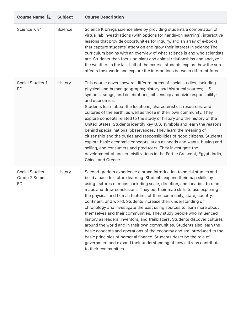| Course Name LE                                | <b>Subject</b> | <b>Course Description</b>                                                                                                                                                                                                                                                                                                                                                                                                                                                                                                                                                                                                                                                                                                                                                                                                                                                                                                                                                                              |
|-----------------------------------------------|----------------|--------------------------------------------------------------------------------------------------------------------------------------------------------------------------------------------------------------------------------------------------------------------------------------------------------------------------------------------------------------------------------------------------------------------------------------------------------------------------------------------------------------------------------------------------------------------------------------------------------------------------------------------------------------------------------------------------------------------------------------------------------------------------------------------------------------------------------------------------------------------------------------------------------------------------------------------------------------------------------------------------------|
| Science K E1                                  | Science        | Science K brings science alive by providing students a combination of<br>virtual lab investigations (with options for hands-on learning), interactive<br>lessons that provide opportunities for inquiry, and an array of e-books<br>that capture students' attention and grow their interest in science. The<br>curriculum begins with an overview of what science is and who scientists<br>are. Students then focus on plant and animal relationships and analyze<br>the weather. In the last half of the course, students explore how the sun<br>affects their world and explore the interactions between different forces.                                                                                                                                                                                                                                                                                                                                                                          |
| Social Studies 1<br>ED                        | History        | This course covers several different areas of social studies, including<br>physical and human geography; history and historical sources; U.S.<br>symbols, songs, and celebrations; citizenship and civic responsibility;<br>and economics.<br>Students learn about the locations, characteristics, resources, and<br>cultures of the earth, as well as those in their own community. They<br>explore concepts related to the study of history and the history of the<br>United States. Students identify key U.S. symbols and learn the reasons<br>behind special national observances. They learn the meaning of<br>citizenship and the duties and responsibilities of good citizens. Students<br>explore basic economic concepts, such as needs and wants, buying and<br>selling, and consumers and producers. They investigate the<br>development of ancient civilizations in the Fertile Crescent, Egypt, India,<br>China, and Greece.                                                             |
| <b>Social Studies</b><br>Grade 2 Summit<br>ED | History        | Second graders experience a broad introduction to social studies and<br>build a base for future learning. Students expand their map skills by<br>using features of maps, including scale, direction, and location, to read<br>maps and draw conclusions. They put their map skills to use exploring<br>the physical and human features of their community, state, country,<br>continent, and world. Students increase their understanding of<br>chronology and investigate the past using sources to learn more about<br>themselves and their communities. They study people who influenced<br>history as leaders, inventors, and trailblazers. Students discover cultures<br>around the world and in their own communities. Students also learn the<br>basic concepts and operations of the economy and are introduced to the<br>basic principles of personal finance. Students describe the role of<br>government and expand their understanding of how citizens contribute<br>to their communities. |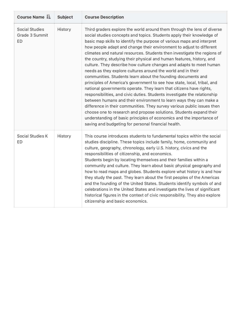| Course Name $I_{\Xi}$                                | <b>Subject</b> | <b>Course Description</b>                                                                                                                                                                                                                                                                                                                                                                                                                                                                                                                                                                                                                                                                                                                                                                                                                                                                                                                                                                                                                                                                                                                                                                                                                            |
|------------------------------------------------------|----------------|------------------------------------------------------------------------------------------------------------------------------------------------------------------------------------------------------------------------------------------------------------------------------------------------------------------------------------------------------------------------------------------------------------------------------------------------------------------------------------------------------------------------------------------------------------------------------------------------------------------------------------------------------------------------------------------------------------------------------------------------------------------------------------------------------------------------------------------------------------------------------------------------------------------------------------------------------------------------------------------------------------------------------------------------------------------------------------------------------------------------------------------------------------------------------------------------------------------------------------------------------|
| <b>Social Studies</b><br>Grade 3 Summit<br><b>ED</b> | History        | Third graders explore the world around them through the lens of diverse<br>social studies concepts and topics. Students apply their knowledge of<br>basic map skills to identify the purpose of various maps and interpret<br>how people adapt and change their environment to adjust to different<br>climates and natural resources. Students then investigate the regions of<br>the country, studying their physical and human features, history, and<br>culture. They describe how culture changes and adapts to meet human<br>needs as they explore cultures around the world and in their<br>communities. Students learn about the founding documents and<br>principles of America's government to see how state, local, tribal, and<br>national governments operate. They learn that citizens have rights,<br>responsibilities, and civic duties. Students investigate the relationship<br>between humans and their environment to learn ways they can make a<br>difference in their communities. They survey various public issues then<br>choose one to research and propose solutions. Students expand their<br>understanding of basic principles of economics and the importance of<br>saving and budgeting for personal financial health. |
| Social Studies K<br>ED                               | History        | This course introduces students to fundamental topics within the social<br>studies discipline. These topics include family, home, community and<br>culture, geography, chronology, early U.S. history, civics and the<br>responsibilities of citizenship, and economics.<br>Students begin by locating themselves and their families within a<br>community and culture. They learn about basic physical geography and<br>how to read maps and globes. Students explore what history is and how<br>they study the past. They learn about the first peoples of the Americas<br>and the founding of the United States. Students identify symbols of and<br>celebrations in the United States and investigate the lives of significant<br>historical figures in the context of civic responsibility. They also explore<br>citizenship and basic economics.                                                                                                                                                                                                                                                                                                                                                                                               |